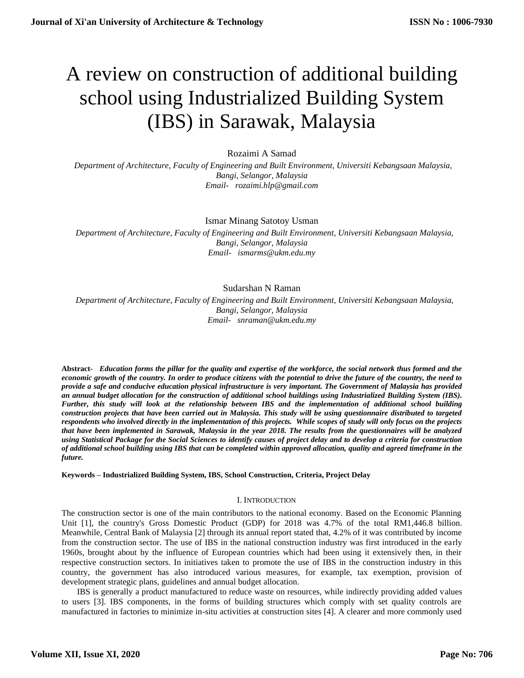# A review on construction of additional building school using Industrialized Building System (IBS) in Sarawak, Malaysia

# Rozaimi A Samad

 *Department of Architecture, Faculty of Engineering and Built Environment, Universiti Kebangsaan Malaysia, Bangi, Selangor, Malaysia [Email- rozaimi.hlp@gmail.com](mailto:Email-%20%20%20anuradhamit@gmail.com)*

Ismar Minang Satotoy Usman

 *Department of Architecture, Faculty of Engineering and Built Environment, Universiti Kebangsaan Malaysia, Bangi, Selangor, Malaysia Email- ismarms@ukm.edu.my*

# Sudarshan N Raman

 *Department of Architecture, Faculty of Engineering and Built Environment, Universiti Kebangsaan Malaysia, Bangi, Selangor, Malaysia Email- snraman@ukm.edu.my*

**Abstract***- Education forms the pillar for the quality and expertise of the workforce, the social network thus formed and the economic growth of the country. In order to produce citizens with the potential to drive the future of the country, the need to provide a safe and conducive education physical infrastructure is very important. The Government of Malaysia has provided an annual budget allocation for the construction of additional school buildings using Industrialized Building System (IBS). Further, this study will look at the relationship between IBS and the implementation of additional school building construction projects that have been carried out in Malaysia. This study will be using questionnaire distributed to targeted respondents who involved directly in the implementation of this projects. While scopes of study will only focus on the projects that have been implemented in Sarawak, Malaysia in the year 2018. The results from the questionnaires will be analyzed using Statistical Package for the Social Sciences to identify causes of project delay and to develop a criteria for construction of additional school building using IBS that can be completed within approved allocation, quality and agreed timeframe in the future.*

## **Keywords – Industrialized Building System, IBS, School Construction, Criteria, Project Delay**

## I. INTRODUCTION

The construction sector is one of the main contributors to the national economy. Based on the Economic Planning Unit [1], the country's Gross Domestic Product (GDP) for 2018 was 4.7% of the total RM1,446.8 billion. Meanwhile, Central Bank of Malaysia [2] through its annual report stated that, 4.2% of it was contributed by income from the construction sector. The use of IBS in the national construction industry was first introduced in the early 1960s, brought about by the influence of European countries which had been using it extensively then, in their respective construction sectors. In initiatives taken to promote the use of IBS in the construction industry in this country, the government has also introduced various measures, for example, tax exemption, provision of development strategic plans, guidelines and annual budget allocation.

IBS is generally a product manufactured to reduce waste on resources, while indirectly providing added values to users [3]. IBS components, in the forms of building structures which comply with set quality controls are manufactured in factories to minimize in-situ activities at construction sites [4]. A clearer and more commonly used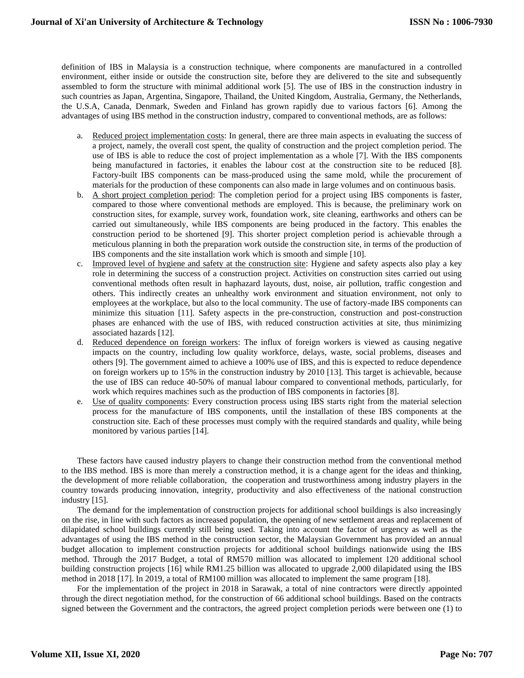definition of IBS in Malaysia is a construction technique, where components are manufactured in a controlled environment, either inside or outside the construction site, before they are delivered to the site and subsequently assembled to form the structure with minimal additional work [5]. The use of IBS in the construction industry in such countries as Japan, Argentina, Singapore, Thailand, the United Kingdom, Australia, Germany, the Netherlands, the U.S.A, Canada, Denmark, Sweden and Finland has grown rapidly due to various factors [6]. Among the advantages of using IBS method in the construction industry, compared to conventional methods, are as follows:

- a. Reduced project implementation costs: In general, there are three main aspects in evaluating the success of a project, namely, the overall cost spent, the quality of construction and the project completion period. The use of IBS is able to reduce the cost of project implementation as a whole [7]. With the IBS components being manufactured in factories, it enables the labour cost at the construction site to be reduced [8]. Factory-built IBS components can be mass-produced using the same mold, while the procurement of materials for the production of these components can also made in large volumes and on continuous basis.
- b. A short project completion period: The completion period for a project using IBS components is faster, compared to those where conventional methods are employed. This is because, the preliminary work on construction sites, for example, survey work, foundation work, site cleaning, earthworks and others can be carried out simultaneously, while IBS components are being produced in the factory. This enables the construction period to be shortened [9]. This shorter project completion period is achievable through a meticulous planning in both the preparation work outside the construction site, in terms of the production of IBS components and the site installation work which is smooth and simple [10].
- c. Improved level of hygiene and safety at the construction site: Hygiene and safety aspects also play a key role in determining the success of a construction project. Activities on construction sites carried out using conventional methods often result in haphazard layouts, dust, noise, air pollution, traffic congestion and others. This indirectly creates an unhealthy work environment and situation environment, not only to employees at the workplace, but also to the local community. The use of factory-made IBS components can minimize this situation [11]. Safety aspects in the pre-construction, construction and post-construction phases are enhanced with the use of IBS, with reduced construction activities at site, thus minimizing associated hazards [12].
- d. Reduced dependence on foreign workers: The influx of foreign workers is viewed as causing negative impacts on the country, including low quality workforce, delays, waste, social problems, diseases and others [9]. The government aimed to achieve a 100% use of IBS, and this is expected to reduce dependence on foreign workers up to 15% in the construction industry by 2010 [13]. This target is achievable, because the use of IBS can reduce 40-50% of manual labour compared to conventional methods, particularly, for work which requires machines such as the production of IBS components in factories [8].
- e. Use of quality components: Every construction process using IBS starts right from the material selection process for the manufacture of IBS components, until the installation of these IBS components at the construction site. Each of these processes must comply with the required standards and quality, while being monitored by various parties [14].

These factors have caused industry players to change their construction method from the conventional method to the IBS method. IBS is more than merely a construction method, it is a change agent for the ideas and thinking, the development of more reliable collaboration, the cooperation and trustworthiness among industry players in the country towards producing innovation, integrity, productivity and also effectiveness of the national construction industry [15].

The demand for the implementation of construction projects for additional school buildings is also increasingly on the rise, in line with such factors as increased population, the opening of new settlement areas and replacement of dilapidated school buildings currently still being used. Taking into account the factor of urgency as well as the advantages of using the IBS method in the construction sector, the Malaysian Government has provided an annual budget allocation to implement construction projects for additional school buildings nationwide using the IBS method. Through the 2017 Budget, a total of RM570 million was allocated to implement 120 additional school building construction projects [16] while RM1.25 billion was allocated to upgrade 2,000 dilapidated using the IBS method in 2018 [17]. In 2019, a total of RM100 million was allocated to implement the same program [18].

For the implementation of the project in 2018 in Sarawak, a total of nine contractors were directly appointed through the direct negotiation method, for the construction of 66 additional school buildings. Based on the contracts signed between the Government and the contractors, the agreed project completion periods were between one (1) to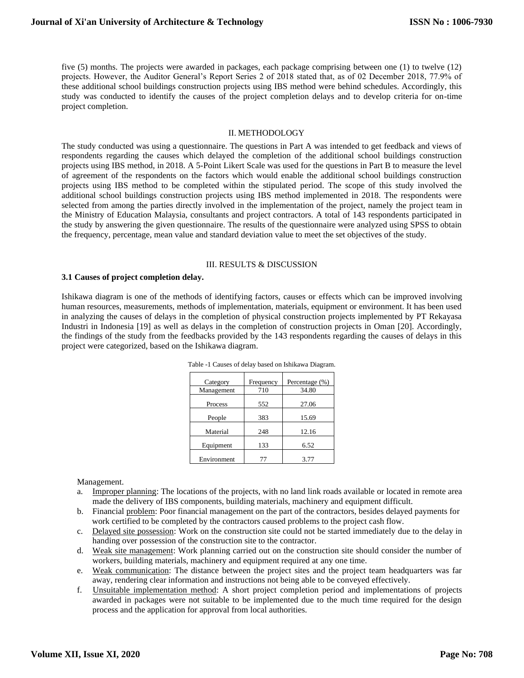five (5) months. The projects were awarded in packages, each package comprising between one (1) to twelve (12) projects. However, the Auditor General's Report Series 2 of 2018 stated that, as of 02 December 2018, 77.9% of these additional school buildings construction projects using IBS method were behind schedules. Accordingly, this study was conducted to identify the causes of the project completion delays and to develop criteria for on-time project completion.

#### II. METHODOLOGY

The study conducted was using a questionnaire. The questions in Part A was intended to get feedback and views of respondents regarding the causes which delayed the completion of the additional school buildings construction projects using IBS method, in 2018. A 5-Point Likert Scale was used for the questions in Part B to measure the level of agreement of the respondents on the factors which would enable the additional school buildings construction projects using IBS method to be completed within the stipulated period. The scope of this study involved the additional school buildings construction projects using IBS method implemented in 2018. The respondents were selected from among the parties directly involved in the implementation of the project, namely the project team in the Ministry of Education Malaysia, consultants and project contractors. A total of 143 respondents participated in the study by answering the given questionnaire. The results of the questionnaire were analyzed using SPSS to obtain the frequency, percentage, mean value and standard deviation value to meet the set objectives of the study.

#### III. RESULTS & DISCUSSION

#### **3.1 Causes of project completion delay.**

Ishikawa diagram is one of the methods of identifying factors, causes or effects which can be improved involving human resources, measurements, methods of implementation, materials, equipment or environment. It has been used in analyzing the causes of delays in the completion of physical construction projects implemented by PT Rekayasa Industri in Indonesia [19] as well as delays in the completion of construction projects in Oman [20]. Accordingly, the findings of the study from the feedbacks provided by the 143 respondents regarding the causes of delays in this project were categorized, based on the Ishikawa diagram.

| Category    | Frequency | Percentage (%) |
|-------------|-----------|----------------|
| Management  | 710       | 34.80          |
| Process     | 552       | 27.06          |
| People      | 383       | 15.69          |
| Material    | 248       | 12.16          |
| Equipment   | 133       | 6.52           |
| Environment | 77        | 3.77           |

Table -1 Causes of delay based on Ishikawa Diagram.

Management.

- a. Improper planning: The locations of the projects, with no land link roads available or located in remote area made the delivery of IBS components, building materials, machinery and equipment difficult.
- b. Financial problem: Poor financial management on the part of the contractors, besides delayed payments for work certified to be completed by the contractors caused problems to the project cash flow.
- c. Delayed site possession: Work on the construction site could not be started immediately due to the delay in handing over possession of the construction site to the contractor.
- d. Weak site management: Work planning carried out on the construction site should consider the number of workers, building materials, machinery and equipment required at any one time.
- e. Weak communication: The distance between the project sites and the project team headquarters was far away, rendering clear information and instructions not being able to be conveyed effectively.
- f. Unsuitable implementation method: A short project completion period and implementations of projects awarded in packages were not suitable to be implemented due to the much time required for the design process and the application for approval from local authorities.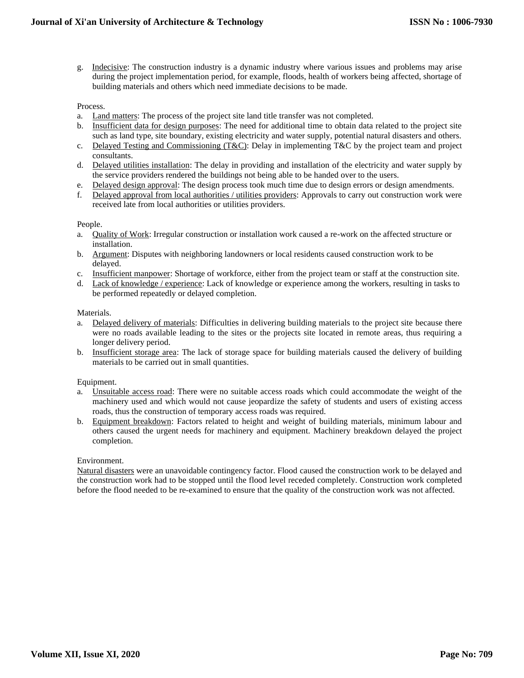g. Indecisive: The construction industry is a dynamic industry where various issues and problems may arise during the project implementation period, for example, floods, health of workers being affected, shortage of building materials and others which need immediate decisions to be made.

# Process.

- a. Land matters: The process of the project site land title transfer was not completed.
- b. Insufficient data for design purposes: The need for additional time to obtain data related to the project site such as land type, site boundary, existing electricity and water supply, potential natural disasters and others.
- c. Delayed Testing and Commissioning  $(T\&C)$ : Delay in implementing T&C by the project team and project consultants.
- d. Delayed utilities installation: The delay in providing and installation of the electricity and water supply by the service providers rendered the buildings not being able to be handed over to the users.
- e. Delayed design approval: The design process took much time due to design errors or design amendments.
- f. Delayed approval from local authorities / utilities providers: Approvals to carry out construction work were received late from local authorities or utilities providers.

## People.

- a. Quality of Work: Irregular construction or installation work caused a re-work on the affected structure or installation.
- b. Argument: Disputes with neighboring landowners or local residents caused construction work to be delayed.
- c. Insufficient manpower: Shortage of workforce, either from the project team or staff at the construction site.
- d. Lack of knowledge / experience: Lack of knowledge or experience among the workers, resulting in tasks to be performed repeatedly or delayed completion.

## Materials.

- a. Delayed delivery of materials: Difficulties in delivering building materials to the project site because there were no roads available leading to the sites or the projects site located in remote areas, thus requiring a longer delivery period.
- b. Insufficient storage area: The lack of storage space for building materials caused the delivery of building materials to be carried out in small quantities.

# Equipment.

- a. Unsuitable access road: There were no suitable access roads which could accommodate the weight of the machinery used and which would not cause jeopardize the safety of students and users of existing access roads, thus the construction of temporary access roads was required.
- b. Equipment breakdown: Factors related to height and weight of building materials, minimum labour and others caused the urgent needs for machinery and equipment. Machinery breakdown delayed the project completion.

## Environment.

Natural disasters were an unavoidable contingency factor. Flood caused the construction work to be delayed and the construction work had to be stopped until the flood level receded completely. Construction work completed before the flood needed to be re-examined to ensure that the quality of the construction work was not affected.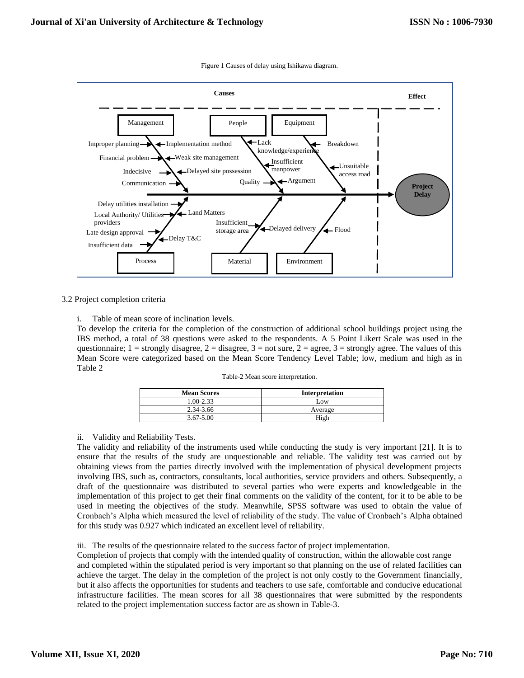

Figure 1 Causes of delay using Ishikawa diagram.

## 3.2 Project completion criteria

i. Table of mean score of inclination levels.

 To develop the criteria for the completion of the construction of additional school buildings project using the IBS method, a total of 38 questions were asked to the respondents. A 5 Point Likert Scale was used in the questionnaire;  $1 =$  strongly disagree,  $2 =$  disagree,  $3 =$  not sure,  $2 =$  agree,  $3 =$  strongly agree. The values of this Mean Score were categorized based on the Mean Score Tendency Level Table; low, medium and high as in Table 2

| <b>Mean Scores</b> | Interpretation |
|--------------------|----------------|
| $0.00 - 2.33$      | Low            |
| 2.34-3.66          | Average        |
| $3.67 - 5.00$      | High           |

## ii. Validity and Reliability Tests.

The validity and reliability of the instruments used while conducting the study is very important [21]. It is to ensure that the results of the study are unquestionable and reliable. The validity test was carried out by obtaining views from the parties directly involved with the implementation of physical development projects involving IBS, such as, contractors, consultants, local authorities, service providers and others. Subsequently, a draft of the questionnaire was distributed to several parties who were experts and knowledgeable in the implementation of this project to get their final comments on the validity of the content, for it to be able to be used in meeting the objectives of the study. Meanwhile, SPSS software was used to obtain the value of Cronbach's Alpha which measured the level of reliability of the study. The value of Cronbach's Alpha obtained for this study was 0.927 which indicated an excellent level of reliability.

iii. The results of the questionnaire related to the success factor of project implementation.

Completion of projects that comply with the intended quality of construction, within the allowable cost range and completed within the stipulated period is very important so that planning on the use of related facilities can achieve the target. The delay in the completion of the project is not only costly to the Government financially, but it also affects the opportunities for students and teachers to use safe, comfortable and conducive educational infrastructure facilities. The mean scores for all 38 questionnaires that were submitted by the respondents related to the project implementation success factor are as shown in Table-3.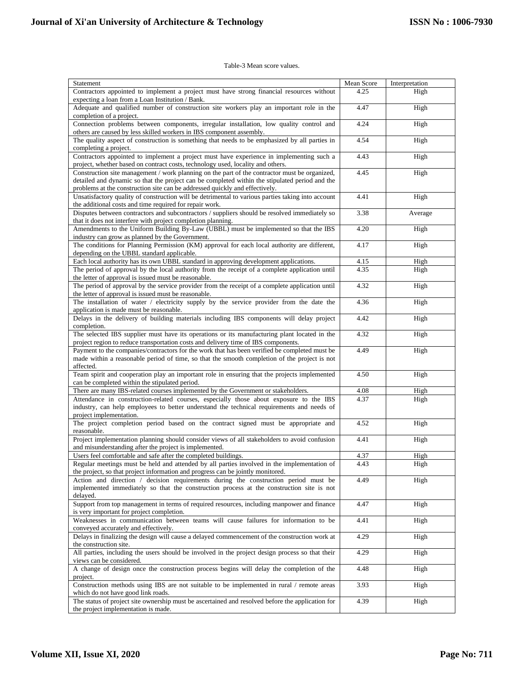#### Table-3 Mean score values.

| Statement                                                                                                                                                                                                                                                                      | Mean Score | Interpretation |
|--------------------------------------------------------------------------------------------------------------------------------------------------------------------------------------------------------------------------------------------------------------------------------|------------|----------------|
| Contractors appointed to implement a project must have strong financial resources without<br>expecting a loan from a Loan Institution / Bank.                                                                                                                                  | 4.25       | High           |
| Adequate and qualified number of construction site workers play an important role in the<br>completion of a project.                                                                                                                                                           | 4.47       | High           |
| Connection problems between components, irregular installation, low quality control and<br>others are caused by less skilled workers in IBS component assembly.                                                                                                                | 4.24       | High           |
| The quality aspect of construction is something that needs to be emphasized by all parties in<br>completing a project.                                                                                                                                                         | 4.54       | High           |
| Contractors appointed to implement a project must have experience in implementing such a<br>project, whether based on contract costs, technology used, locality and others.                                                                                                    | 4.43       | High           |
| Construction site management / work planning on the part of the contractor must be organized,<br>detailed and dynamic so that the project can be completed within the stipulated period and the<br>problems at the construction site can be addressed quickly and effectively. | 4.45       | High           |
| Unsatisfactory quality of construction will be detrimental to various parties taking into account<br>the additional costs and time required for repair work.                                                                                                                   | 4.41       | High           |
| Disputes between contractors and subcontractors / suppliers should be resolved immediately so<br>that it does not interfere with project completion planning.                                                                                                                  | 3.38       | Average        |
| Amendments to the Uniform Building By-Law (UBBL) must be implemented so that the IBS<br>industry can grow as planned by the Government.                                                                                                                                        | 4.20       | High           |
| The conditions for Planning Permission (KM) approval for each local authority are different,<br>depending on the UBBL standard applicable.                                                                                                                                     | 4.17       | High           |
| Each local authority has its own UBBL standard in approving development applications.                                                                                                                                                                                          | 4.15       | High           |
| The period of approval by the local authority from the receipt of a complete application until<br>the letter of approval is issued must be reasonable.                                                                                                                         | 4.35       | High           |
| The period of approval by the service provider from the receipt of a complete application until<br>the letter of approval is issued must be reasonable.                                                                                                                        | 4.32       | High           |
| The installation of water / electricity supply by the service provider from the date the<br>application is made must be reasonable.                                                                                                                                            | 4.36       | High           |
| Delays in the delivery of building materials including IBS components will delay project<br>completion.                                                                                                                                                                        | 4.42       | High           |
| The selected IBS supplier must have its operations or its manufacturing plant located in the<br>project region to reduce transportation costs and delivery time of IBS components.                                                                                             | 4.32       | High           |
| Payment to the companies/contractors for the work that has been verified be completed must be<br>made within a reasonable period of time, so that the smooth completion of the project is not<br>affected.                                                                     | 4.49       | High           |
| Team spirit and cooperation play an important role in ensuring that the projects implemented<br>can be completed within the stipulated period.                                                                                                                                 | 4.50       | High           |
| There are many IBS-related courses implemented by the Government or stakeholders.                                                                                                                                                                                              | 4.08       | High           |
| Attendance in construction-related courses, especially those about exposure to the IBS<br>industry, can help employees to better understand the technical requirements and needs of<br>project implementation.                                                                 | 4.37       | High           |
| The project completion period based on the contract signed must be appropriate and<br>reasonable.                                                                                                                                                                              | 4.52       | High           |
| Project implementation planning should consider views of all stakeholders to avoid confusion<br>and misunderstanding after the project is implemented.                                                                                                                         | 4.41       | High           |
| Users feel comfortable and safe after the completed buildings.                                                                                                                                                                                                                 | 4.37       | High           |
| Regular meetings must be held and attended by all parties involved in the implementation of<br>the project, so that project information and progress can be jointly monitored.                                                                                                 | 4.43       | High           |
| Action and direction / decision requirements during the construction period must be<br>implemented immediately so that the construction process at the construction site is not<br>delaved.                                                                                    | 4.49       | High           |
| Support from top management in terms of required resources, including manpower and finance<br>is very important for project completion.                                                                                                                                        | 4.47       | High           |
| Weaknesses in communication between teams will cause failures for information to be<br>conveyed accurately and effectively.                                                                                                                                                    | 4.41       | High           |
| Delays in finalizing the design will cause a delayed commencement of the construction work at<br>the construction site.                                                                                                                                                        | 4.29       | High           |
| All parties, including the users should be involved in the project design process so that their<br>views can be considered.                                                                                                                                                    | 4.29       | High           |
| A change of design once the construction process begins will delay the completion of the<br>project.                                                                                                                                                                           | 4.48       | High           |
| Construction methods using IBS are not suitable to be implemented in rural / remote areas<br>which do not have good link roads.                                                                                                                                                | 3.93       | High           |
| The status of project site ownership must be ascertained and resolved before the application for<br>the project implementation is made.                                                                                                                                        | 4.39       | High           |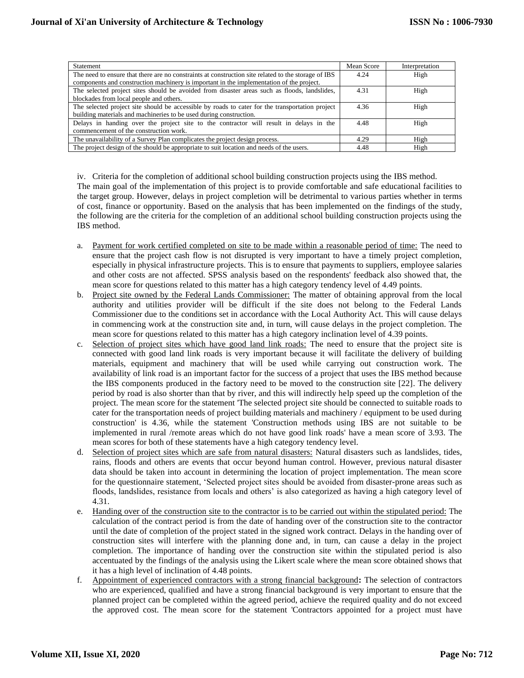| <b>Statement</b>                                                                                    | Mean Score | Interpretation |
|-----------------------------------------------------------------------------------------------------|------------|----------------|
| The need to ensure that there are no constraints at construction site related to the storage of IBS | 4.24       | High           |
| components and construction machinery is important in the implementation of the project.            |            |                |
| The selected project sites should be avoided from disaster areas such as floods, landslides,        | 4.31       | High           |
| blockades from local people and others.                                                             |            |                |
| The selected project site should be accessible by roads to cater for the transportation project     | 4.36       | High           |
| building materials and machineries to be used during construction.                                  |            |                |
| Delays in handing over the project site to the contractor will result in delays in the              | 4.48       | High           |
| commencement of the construction work.                                                              |            |                |
| The unavailability of a Survey Plan complicates the project design process.                         | 4.29       | High           |
| The project design of the should be appropriate to suit location and needs of the users.            | 4.48       | High           |

iv. Criteria for the completion of additional school building construction projects using the IBS method. The main goal of the implementation of this project is to provide comfortable and safe educational facilities to the target group. However, delays in project completion will be detrimental to various parties whether in terms of cost, finance or opportunity. Based on the analysis that has been implemented on the findings of the study, the following are the criteria for the completion of an additional school building construction projects using the IBS method.

- a. Payment for work certified completed on site to be made within a reasonable period of time: The need to ensure that the project cash flow is not disrupted is very important to have a timely project completion, especially in physical infrastructure projects. This is to ensure that payments to suppliers, employee salaries and other costs are not affected. SPSS analysis based on the respondents' feedback also showed that, the mean score for questions related to this matter has a high category tendency level of 4.49 points.
- b. Project site owned by the Federal Lands Commissioner: The matter of obtaining approval from the local authority and utilities provider will be difficult if the site does not belong to the Federal Lands Commissioner due to the conditions set in accordance with the Local Authority Act. This will cause delays in commencing work at the construction site and, in turn, will cause delays in the project completion. The mean score for questions related to this matter has a high category inclination level of 4.39 points.
- c. Selection of project sites which have good land link roads: The need to ensure that the project site is connected with good land link roads is very important because it will facilitate the delivery of building materials, equipment and machinery that will be used while carrying out construction work. The availability of link road is an important factor for the success of a project that uses the IBS method because the IBS components produced in the factory need to be moved to the construction site [22]. The delivery period by road is also shorter than that by river, and this will indirectly help speed up the completion of the project. The mean score for the statement 'The selected project site should be connected to suitable roads to cater for the transportation needs of project building materials and machinery / equipment to be used during construction' is 4.36, while the statement 'Construction methods using IBS are not suitable to be implemented in rural /remote areas which do not have good link roads' have a mean score of 3.93. The mean scores for both of these statements have a high category tendency level.
- d. Selection of project sites which are safe from natural disasters: Natural disasters such as landslides, tides, rains, floods and others are events that occur beyond human control. However, previous natural disaster data should be taken into account in determining the location of project implementation. The mean score for the questionnaire statement, 'Selected project sites should be avoided from disaster-prone areas such as floods, landslides, resistance from locals and others' is also categorized as having a high category level of 4.31.
- e. Handing over of the construction site to the contractor is to be carried out within the stipulated period: The calculation of the contract period is from the date of handing over of the construction site to the contractor until the date of completion of the project stated in the signed work contract. Delays in the handing over of construction sites will interfere with the planning done and, in turn, can cause a delay in the project completion. The importance of handing over the construction site within the stipulated period is also accentuated by the findings of the analysis using the Likert scale where the mean score obtained shows that it has a high level of inclination of 4.48 points.
- f. Appointment of experienced contractors with a strong financial background**:** The selection of contractors who are experienced, qualified and have a strong financial background is very important to ensure that the planned project can be completed within the agreed period, achieve the required quality and do not exceed the approved cost. The mean score for the statement 'Contractors appointed for a project must have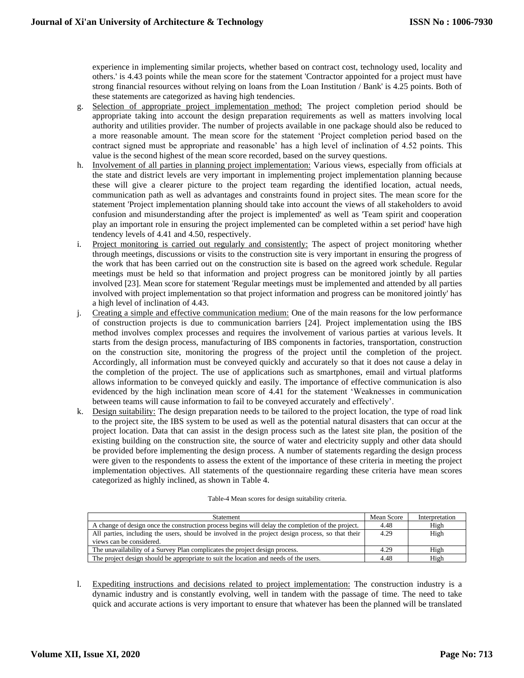experience in implementing similar projects, whether based on contract cost, technology used, locality and others.' is 4.43 points while the mean score for the statement 'Contractor appointed for a project must have strong financial resources without relying on loans from the Loan Institution / Bank' is 4.25 points. Both of these statements are categorized as having high tendencies.

- g. Selection of appropriate project implementation method: The project completion period should be appropriate taking into account the design preparation requirements as well as matters involving local authority and utilities provider. The number of projects available in one package should also be reduced to a more reasonable amount. The mean score for the statement 'Project completion period based on the contract signed must be appropriate and reasonable' has a high level of inclination of 4.52 points. This value is the second highest of the mean score recorded, based on the survey questions.
- h. Involvement of all parties in planning project implementation: Various views, especially from officials at the state and district levels are very important in implementing project implementation planning because these will give a clearer picture to the project team regarding the identified location, actual needs, communication path as well as advantages and constraints found in project sites. The mean score for the statement 'Project implementation planning should take into account the views of all stakeholders to avoid confusion and misunderstanding after the project is implemented' as well as 'Team spirit and cooperation play an important role in ensuring the project implemented can be completed within a set period' have high tendency levels of 4.41 and 4.50, respectively.
- i. Project monitoring is carried out regularly and consistently: The aspect of project monitoring whether through meetings, discussions or visits to the construction site is very important in ensuring the progress of the work that has been carried out on the construction site is based on the agreed work schedule. Regular meetings must be held so that information and project progress can be monitored jointly by all parties involved [23]. Mean score for statement 'Regular meetings must be implemented and attended by all parties involved with project implementation so that project information and progress can be monitored jointly' has a high level of inclination of 4.43.
- j. Creating a simple and effective communication medium: One of the main reasons for the low performance of construction projects is due to communication barriers [24]. Project implementation using the IBS method involves complex processes and requires the involvement of various parties at various levels. It starts from the design process, manufacturing of IBS components in factories, transportation, construction on the construction site, monitoring the progress of the project until the completion of the project. Accordingly, all information must be conveyed quickly and accurately so that it does not cause a delay in the completion of the project. The use of applications such as smartphones, email and virtual platforms allows information to be conveyed quickly and easily. The importance of effective communication is also evidenced by the high inclination mean score of 4.41 for the statement 'Weaknesses in communication between teams will cause information to fail to be conveyed accurately and effectively'.
- k. Design suitability: The design preparation needs to be tailored to the project location, the type of road link to the project site, the IBS system to be used as well as the potential natural disasters that can occur at the project location. Data that can assist in the design process such as the latest site plan, the position of the existing building on the construction site, the source of water and electricity supply and other data should be provided before implementing the design process. A number of statements regarding the design process were given to the respondents to assess the extent of the importance of these criteria in meeting the project implementation objectives. All statements of the questionnaire regarding these criteria have mean scores categorized as highly inclined, as shown in Table 4.

| <b>Statement</b>                                                                                                              | Mean Score | Interpretation |
|-------------------------------------------------------------------------------------------------------------------------------|------------|----------------|
| A change of design once the construction process begins will delay the completion of the project.                             | 4.48       | High           |
| All parties, including the users, should be involved in the project design process, so that their<br>views can be considered. | 4.29       | High           |
| The unavailability of a Survey Plan complicates the project design process.                                                   | 4.29       | High           |
| The project design should be appropriate to suit the location and needs of the users.                                         | 4.48       | High           |

l. Expediting instructions and decisions related to project implementation: The construction industry is a dynamic industry and is constantly evolving, well in tandem with the passage of time. The need to take quick and accurate actions is very important to ensure that whatever has been the planned will be translated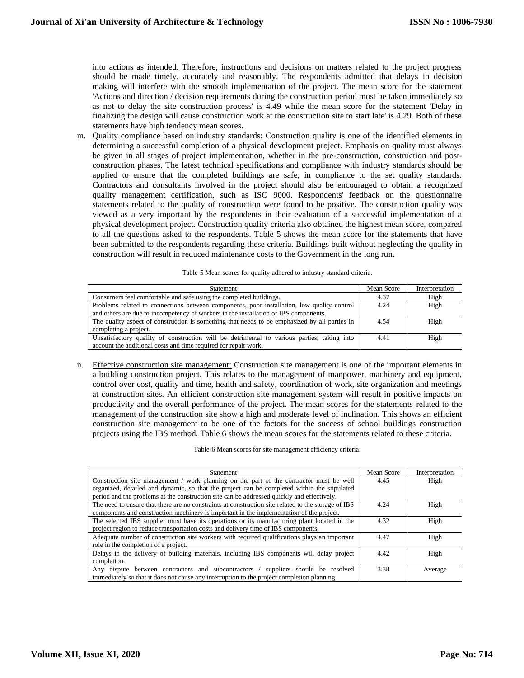into actions as intended. Therefore, instructions and decisions on matters related to the project progress should be made timely, accurately and reasonably. The respondents admitted that delays in decision making will interfere with the smooth implementation of the project. The mean score for the statement 'Actions and direction / decision requirements during the construction period must be taken immediately so as not to delay the site construction process' is 4.49 while the mean score for the statement 'Delay in finalizing the design will cause construction work at the construction site to start late' is 4.29. Both of these statements have high tendency mean scores.

m. Quality compliance based on industry standards: Construction quality is one of the identified elements in determining a successful completion of a physical development project. Emphasis on quality must always be given in all stages of project implementation, whether in the pre-construction, construction and postconstruction phases. The latest technical specifications and compliance with industry standards should be applied to ensure that the completed buildings are safe, in compliance to the set quality standards. Contractors and consultants involved in the project should also be encouraged to obtain a recognized quality management certification, such as ISO 9000. Respondents' feedback on the questionnaire statements related to the quality of construction were found to be positive. The construction quality was viewed as a very important by the respondents in their evaluation of a successful implementation of a physical development project. Construction quality criteria also obtained the highest mean score, compared to all the questions asked to the respondents. Table 5 shows the mean score for the statements that have been submitted to the respondents regarding these criteria. Buildings built without neglecting the quality in construction will result in reduced maintenance costs to the Government in the long run.

| <b>Statement</b>                                                                              | Mean Score | Interpretation |
|-----------------------------------------------------------------------------------------------|------------|----------------|
| Consumers feel comfortable and safe using the completed buildings.                            | 4.37       | High           |
| Problems related to connections between components, poor installation, low quality control    | 4.24       | High           |
| and others are due to incompetency of workers in the installation of IBS components.          |            |                |
| The quality aspect of construction is something that needs to be emphasized by all parties in | 4.54       | High           |
| completing a project.                                                                         |            |                |
| Unsatisfactory quality of construction will be detrimental to various parties, taking into    | 4.41       | High           |
| account the additional costs and time required for repair work.                               |            |                |

n. Effective construction site management: Construction site management is one of the important elements in a building construction project. This relates to the management of manpower, machinery and equipment, control over cost, quality and time, health and safety, coordination of work, site organization and meetings at construction sites. An efficient construction site management system will result in positive impacts on productivity and the overall performance of the project. The mean scores for the statements related to the management of the construction site show a high and moderate level of inclination. This shows an efficient construction site management to be one of the factors for the success of school buildings construction projects using the IBS method. Table 6 shows the mean scores for the statements related to these criteria.

Table-6 Mean scores for site management efficiency criteria.

| <b>Statement</b>                                                                                    | Mean Score | Interpretation |
|-----------------------------------------------------------------------------------------------------|------------|----------------|
| Construction site management / work planning on the part of the contractor must be well             | 4.45       | High           |
| organized, detailed and dynamic, so that the project can be completed within the stipulated         |            |                |
| period and the problems at the construction site can be addressed quickly and effectively.          |            |                |
| The need to ensure that there are no constraints at construction site related to the storage of IBS | 4.24       | High           |
| components and construction machinery is important in the implementation of the project.            |            |                |
| The selected IBS supplier must have its operations or its manufacturing plant located in the        | 4.32       | High           |
| project region to reduce transportation costs and delivery time of IBS components.                  |            |                |
| Adequate number of construction site workers with required qualifications plays an important        | 4.47       | High           |
| role in the completion of a project.                                                                |            |                |
| Delays in the delivery of building materials, including IBS components will delay project           | 4.42       | High           |
| completion.                                                                                         |            |                |
| Any dispute between contractors and subcontractors /<br>suppliers should be resolved                | 3.38       | Average        |
| immediately so that it does not cause any interruption to the project completion planning.          |            |                |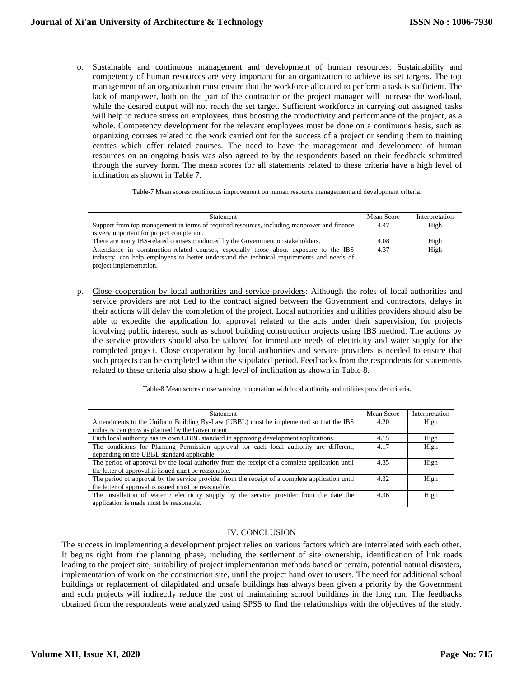o. Sustainable and continuous management and development of human resources: Sustainability and competency of human resources are very important for an organization to achieve its set targets. The top management of an organization must ensure that the workforce allocated to perform a task is sufficient. The lack of manpower, both on the part of the contractor or the project manager will increase the workload, while the desired output will not reach the set target. Sufficient workforce in carrying out assigned tasks will help to reduce stress on employees, thus boosting the productivity and performance of the project, as a whole. Competency development for the relevant employees must be done on a continuous basis, such as organizing courses related to the work carried out for the success of a project or sending them to training centres which offer related courses. The need to have the management and development of human resources on an ongoing basis was also agreed to by the respondents based on their feedback submitted through the survey form. The mean scores for all statements related to these criteria have a high level of inclination as shown in Table 7.

Table-7 Mean scores continuous improvement on human resource management and development criteria.

| <b>Statement</b>                                                                           | Mean Score | Interpretation |
|--------------------------------------------------------------------------------------------|------------|----------------|
| Support from top management in terms of required resources, including manpower and finance | 4.47       | High           |
| is very important for project completion.                                                  |            |                |
| There are many IBS-related courses conducted by the Government or stakeholders.            | 4.08       | High           |
| Attendance in construction-related courses, especially those about exposure to the IBS     | 4.37       | High           |
| industry, can help employees to better understand the technical requirements and needs of  |            |                |
| project implementation.                                                                    |            |                |

p. Close cooperation by local authorities and service providers: Although the roles of local authorities and service providers are not tied to the contract signed between the Government and contractors, delays in their actions will delay the completion of the project. Local authorities and utilities providers should also be able to expedite the application for approval related to the acts under their supervision, for projects involving public interest, such as school building construction projects using IBS method. The actions by the service providers should also be tailored for immediate needs of electricity and water supply for the completed project. Close cooperation by local authorities and service providers is needed to ensure that such projects can be completed within the stipulated period. Feedbacks from the respondents for statements related to these criteria also show a high level of inclination as shown in Table 8.

Table-8 Mean scores close working cooperation with local authority and utilities provider criteria.

| Statement                                                                                       | Mean Score | Interpretation |
|-------------------------------------------------------------------------------------------------|------------|----------------|
| Amendments to the Uniform Building By-Law (UBBL) must be implemented so that the IBS            | 4.20       | High           |
| industry can grow as planned by the Government.                                                 |            |                |
| Each local authority has its own UBBL standard in approving development applications.           | 4.15       | High           |
| The conditions for Planning Permission approval for each local authority are different,         | 4.17       | High           |
| depending on the UBBL standard applicable.                                                      |            |                |
| The period of approval by the local authority from the receipt of a complete application until  | 4.35       | High           |
| the letter of approval is issued must be reasonable.                                            |            |                |
| The period of approval by the service provider from the receipt of a complete application until | 4.32       | High           |
| the letter of approval is issued must be reasonable.                                            |            |                |
| The installation of water / electricity supply by the service provider from the date the        | 4.36       | High           |
| application is made must be reasonable.                                                         |            |                |

## IV. CONCLUSION

The success in implementing a development project relies on various factors which are interrelated with each other. It begins right from the planning phase, including the settlement of site ownership, identification of link roads leading to the project site, suitability of project implementation methods based on terrain, potential natural disasters, implementation of work on the construction site, until the project hand over to users. The need for additional school buildings or replacement of dilapidated and unsafe buildings has always been given a priority by the Government and such projects will indirectly reduce the cost of maintaining school buildings in the long run. The feedbacks obtained from the respondents were analyzed using SPSS to find the relationships with the objectives of the study.